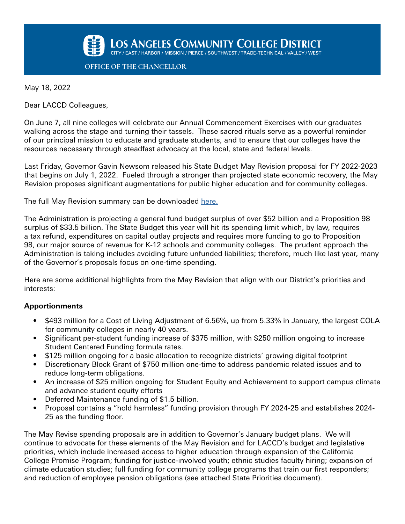

**OFFICE OF THE CHANCELLOR**

May 18, 2022

Dear LACCD Colleagues,

On June 7, all nine colleges will celebrate our Annual Commencement Exercises with our graduates walking across the stage and turning their tassels. These sacred rituals serve as a powerful reminder of our principal mission to educate and graduate students, and to ensure that our colleges have the resources necessary through steadfast advocacy at the local, state and federal levels.

Last Friday, Governor Gavin Newsom released his State Budget May Revision proposal for FY 2022-2023 that begins on July 1, 2022. Fueled through a stronger than projected state economic recovery, the May Revision proposes significant augmentations for public higher education and for community colleges.

The full May Revision summary can be downloaded [here.](https://www.ebudget.ca.gov/budget/2022-23MR/#/BudgetSummary)

The Administration is projecting a general fund budget surplus of over \$52 billion and a Proposition 98 surplus of \$33.5 billion. The State Budget this year will hit its spending limit which, by law, requires a tax refund, expenditures on capital outlay projects and requires more funding to go to Proposition 98, our major source of revenue for K-12 schools and community colleges. The prudent approach the Administration is taking includes avoiding future unfunded liabilities; therefore, much like last year, many of the Governor's proposals focus on one-time spending.

Here are some additional highlights from the May Revision that align with our District's priorities and interests:

## **Apportionments**

- \$493 million for a Cost of Living Adjustment of 6.56%, up from 5.33% in January, the largest COLA for community colleges in nearly 40 years.
- Significant per-student funding increase of \$375 million, with \$250 million ongoing to increase Student Centered Funding formula rates.
- \$125 million ongoing for a basic allocation to recognize districts' growing digital footprint
- Discretionary Block Grant of \$750 million one-time to address pandemic related issues and to reduce long-term obligations.
- An increase of \$25 million ongoing for Student Equity and Achievement to support campus climate and advance student equity efforts
- Deferred Maintenance funding of \$1.5 billion.
- Proposal contains a "hold harmless" funding provision through FY 2024-25 and establishes 2024- 25 as the funding floor.

The May Revise spending proposals are in addition to Governor's January budget plans. We will continue to advocate for these elements of the May Revision and for LACCD's budget and legislative priorities, which include increased access to higher education through expansion of the California College Promise Program; funding for justice-involved youth; ethnic studies faculty hiring; expansion of climate education studies; full funding for community college programs that train our first responders; and reduction of employee pension obligations (see attached State Priorities document).